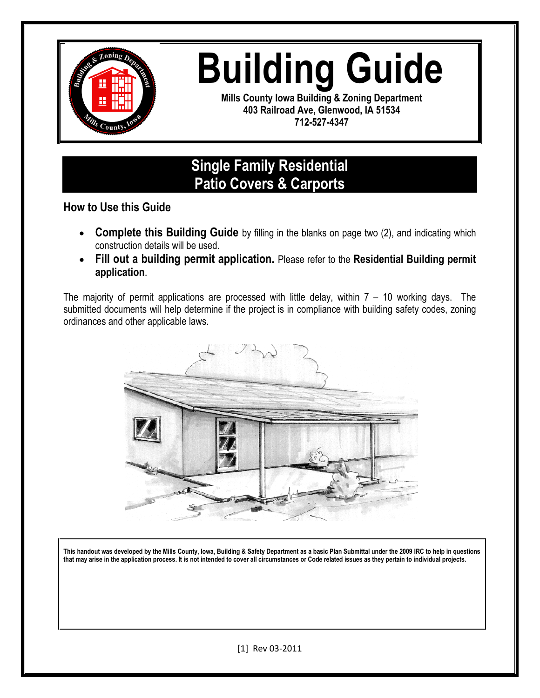

# **Building Guide**

**Mills County Iowa Building & Zoning Department 403 Railroad Ave, Glenwood, IA 51534 712-527-4347**

## **Single Family Residential Patio Covers & Carports**

**How to Use this Guide**

- **Complete this Building Guide** by filling in the blanks on page two (2), and indicating which construction details will be used.
- **Fill out a building permit application.** Please refer to the **Residential Building permit application**.

The majority of permit applications are processed with little delay, within  $7 - 10$  working days. The submitted documents will help determine if the project is in compliance with building safety codes, zoning ordinances and other applicable laws.



**This handout was developed by the Mills County, Iowa, Building & Safety Department as a basic Plan Submittal under the 2009 IRC to help in questions that may arise in the application process. It is not intended to cover all circumstances or Code related issues as they pertain to individual projects.**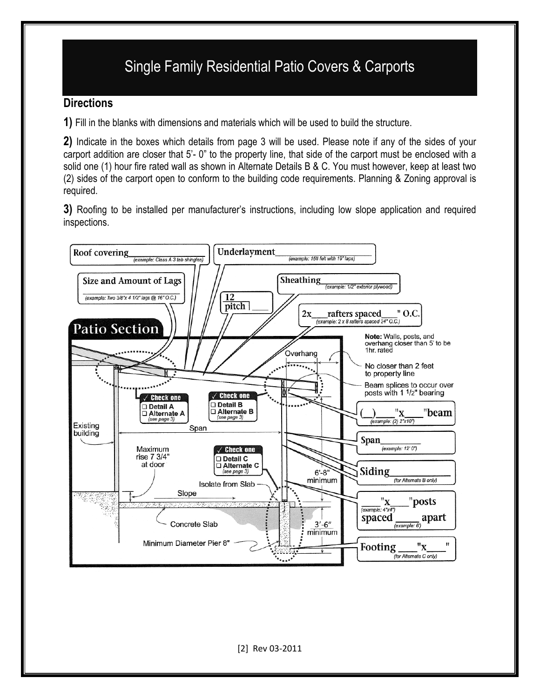# Single Family Residential Patio Covers & Carports

#### **Directions**

**1)** Fill in the blanks with dimensions and materials which will be used to build the structure.

**2)** Indicate in the boxes which details from page 3 will be used. Please note if any of the sides of your carport addition are closer that 5'- 0" to the property line, that side of the carport must be enclosed with a solid one (1) hour fire rated wall as shown in Alternate Details B & C. You must however, keep at least two (2) sides of the carport open to conform to the building code requirements. Planning & Zoning approval is required.

**3)** Roofing to be installed per manufacturer's instructions, including low slope application and required inspections.